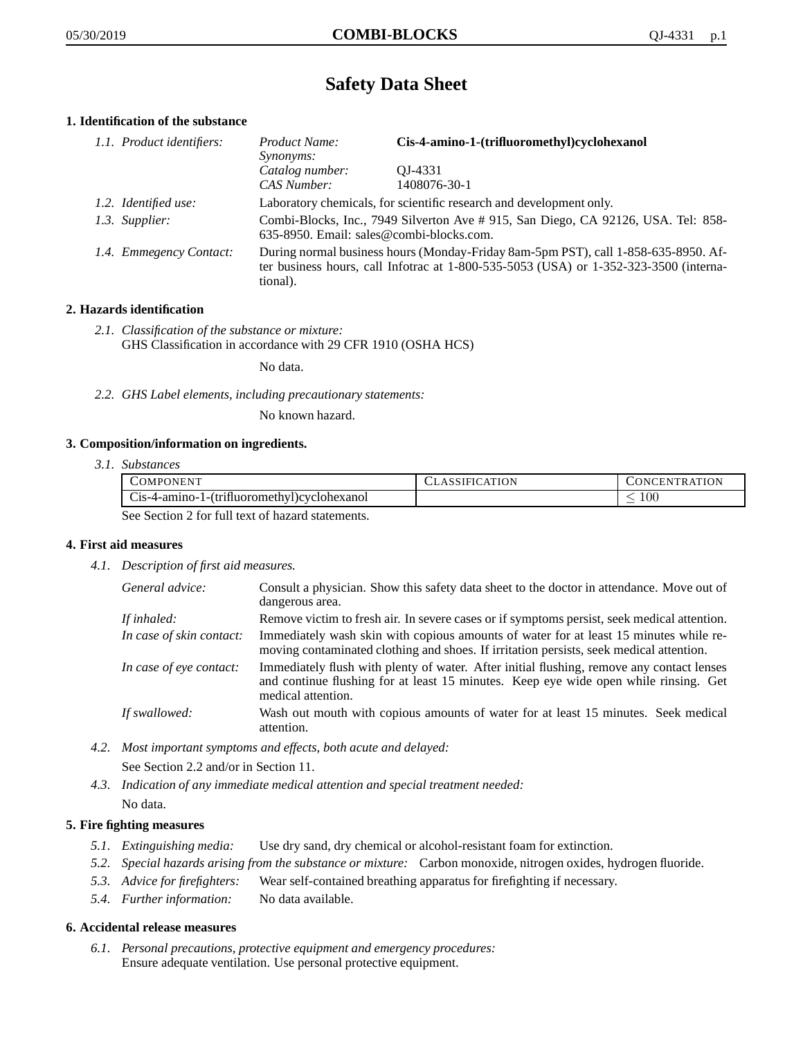# **Safety Data Sheet**

## **1. Identification of the substance**

| 1.1. Product identifiers: | <i>Product Name:</i><br><i>Synonyms:</i>                                                                                                                                                    | Cis-4-amino-1-(trifluoromethyl)cyclohexanol |
|---------------------------|---------------------------------------------------------------------------------------------------------------------------------------------------------------------------------------------|---------------------------------------------|
|                           | Catalog number:<br>CAS Number:                                                                                                                                                              | OJ-4331<br>1408076-30-1                     |
| 1.2. Identified use:      | Laboratory chemicals, for scientific research and development only.                                                                                                                         |                                             |
| 1.3. Supplier:            | Combi-Blocks, Inc., 7949 Silverton Ave # 915, San Diego, CA 92126, USA. Tel: 858-<br>635-8950. Email: sales@combi-blocks.com.                                                               |                                             |
| 1.4. Emmegency Contact:   | During normal business hours (Monday-Friday 8am-5pm PST), call 1-858-635-8950. Af-<br>ter business hours, call Infotrac at $1-800-535-5053$ (USA) or $1-352-323-3500$ (interna-<br>tional). |                                             |

## **2. Hazards identification**

*2.1. Classification of the substance or mixture:* GHS Classification in accordance with 29 CFR 1910 (OSHA HCS)

No data.

*2.2. GHS Label elements, including precautionary statements:*

No known hazard.

#### **3. Composition/information on ingredients.**

*3.1. Substances*

|                                                  | <b>COMPONENT</b>                            | <b>CLASSIFICATION</b> | CONCENTRATION |
|--------------------------------------------------|---------------------------------------------|-----------------------|---------------|
|                                                  | Cis-4-amino-1-(trifluoromethyl)cyclohexanol |                       | 10C           |
| See Section 2 for full text of hazard statements |                                             |                       |               |

See Section 2 for full text of hazard statements.

#### **4. First aid measures**

*4.1. Description of first aid measures.*

| General advice:          | Consult a physician. Show this safety data sheet to the doctor in attendance. Move out of<br>dangerous area.                                                                                            |
|--------------------------|---------------------------------------------------------------------------------------------------------------------------------------------------------------------------------------------------------|
| If inhaled:              | Remove victim to fresh air. In severe cases or if symptoms persist, seek medical attention.                                                                                                             |
| In case of skin contact: | Immediately wash skin with copious amounts of water for at least 15 minutes while re-<br>moving contaminated clothing and shoes. If irritation persists, seek medical attention.                        |
| In case of eye contact:  | Immediately flush with plenty of water. After initial flushing, remove any contact lenses<br>and continue flushing for at least 15 minutes. Keep eye wide open while rinsing. Get<br>medical attention. |
| If swallowed:            | Wash out mouth with copious amounts of water for at least 15 minutes. Seek medical<br>attention.                                                                                                        |

*4.2. Most important symptoms and effects, both acute and delayed:*

See Section 2.2 and/or in Section 11.

*4.3. Indication of any immediate medical attention and special treatment needed:* No data.

### **5. Fire fighting measures**

- *5.1. Extinguishing media:* Use dry sand, dry chemical or alcohol-resistant foam for extinction.
- *5.2. Special hazards arising from the substance or mixture:* Carbon monoxide, nitrogen oxides, hydrogen fluoride.
- *5.3. Advice for firefighters:* Wear self-contained breathing apparatus for firefighting if necessary.
- *5.4. Further information:* No data available.

#### **6. Accidental release measures**

*6.1. Personal precautions, protective equipment and emergency procedures:* Ensure adequate ventilation. Use personal protective equipment.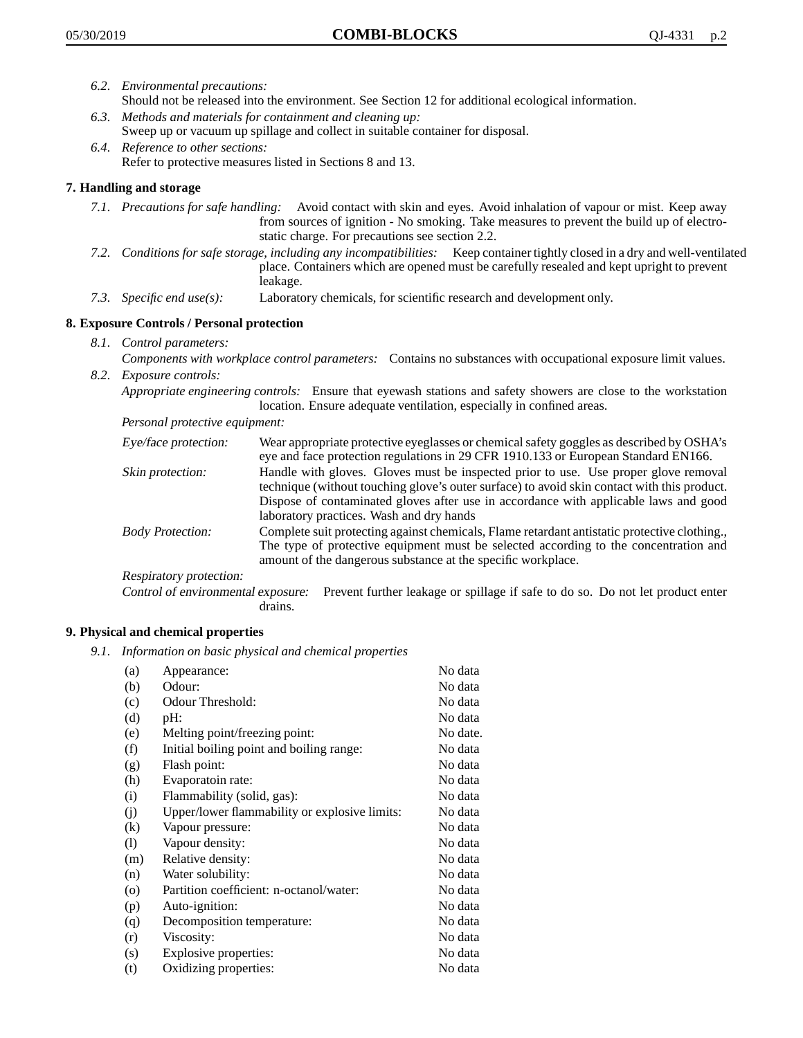- *6.2. Environmental precautions:* Should not be released into the environment. See Section 12 for additional ecological information.
- *6.3. Methods and materials for containment and cleaning up:* Sweep up or vacuum up spillage and collect in suitable container for disposal.
- *6.4. Reference to other sections:* Refer to protective measures listed in Sections 8 and 13.

## **7. Handling and storage**

- *7.1. Precautions for safe handling:* Avoid contact with skin and eyes. Avoid inhalation of vapour or mist. Keep away from sources of ignition - No smoking. Take measures to prevent the build up of electrostatic charge. For precautions see section 2.2.
- *7.2. Conditions for safe storage, including any incompatibilities:* Keep container tightly closed in a dry and well-ventilated place. Containers which are opened must be carefully resealed and kept upright to prevent leakage.
- *7.3. Specific end use(s):* Laboratory chemicals, for scientific research and development only.

## **8. Exposure Controls / Personal protection**

- *8.1. Control parameters:*
- *Components with workplace control parameters:* Contains no substances with occupational exposure limit values. *8.2. Exposure controls:*

*Appropriate engineering controls:* Ensure that eyewash stations and safety showers are close to the workstation location. Ensure adequate ventilation, especially in confined areas.

*Personal protective equipment:*

| Eye/face protection:    | Wear appropriate protective eyeglasses or chemical safety goggles as described by OSHA's<br>eye and face protection regulations in 29 CFR 1910.133 or European Standard EN166.                                                                                                                                         |
|-------------------------|------------------------------------------------------------------------------------------------------------------------------------------------------------------------------------------------------------------------------------------------------------------------------------------------------------------------|
| Skin protection:        | Handle with gloves. Gloves must be inspected prior to use. Use proper glove removal<br>technique (without touching glove's outer surface) to avoid skin contact with this product.<br>Dispose of contaminated gloves after use in accordance with applicable laws and good<br>laboratory practices. Wash and dry hands |
| <b>Body Protection:</b> | Complete suit protecting against chemicals, Flame retardant antistatic protective clothing.,<br>The type of protective equipment must be selected according to the concentration and<br>amount of the dangerous substance at the specific workplace.                                                                   |
| Respiratory protection: |                                                                                                                                                                                                                                                                                                                        |

Control of environmental exposure: Prevent further leakage or spillage if safe to do so. Do not let product enter drains.

#### **9. Physical and chemical properties**

*9.1. Information on basic physical and chemical properties*

| (a)                        | Appearance:                                   | No data  |
|----------------------------|-----------------------------------------------|----------|
| (b)                        | Odour:                                        | No data  |
| (c)                        | Odour Threshold:                              | No data  |
| (d)                        | pH:                                           | No data  |
| (e)                        | Melting point/freezing point:                 | No date. |
| (f)                        | Initial boiling point and boiling range:      | No data  |
| (g)                        | Flash point:                                  | No data  |
| (h)                        | Evaporatoin rate:                             | No data  |
| (i)                        | Flammability (solid, gas):                    | No data  |
| (j)                        | Upper/lower flammability or explosive limits: | No data  |
| (k)                        | Vapour pressure:                              | No data  |
| $\left( \mathrm{l}\right)$ | Vapour density:                               | No data  |
| (m)                        | Relative density:                             | No data  |
| (n)                        | Water solubility:                             | No data  |
| $\circ$                    | Partition coefficient: n-octanol/water:       | No data  |
| (p)                        | Auto-ignition:                                | No data  |
| (q)                        | Decomposition temperature:                    | No data  |
| (r)                        | Viscosity:                                    | No data  |
| (s)                        | Explosive properties:                         | No data  |
| (t)                        | Oxidizing properties:                         | No data  |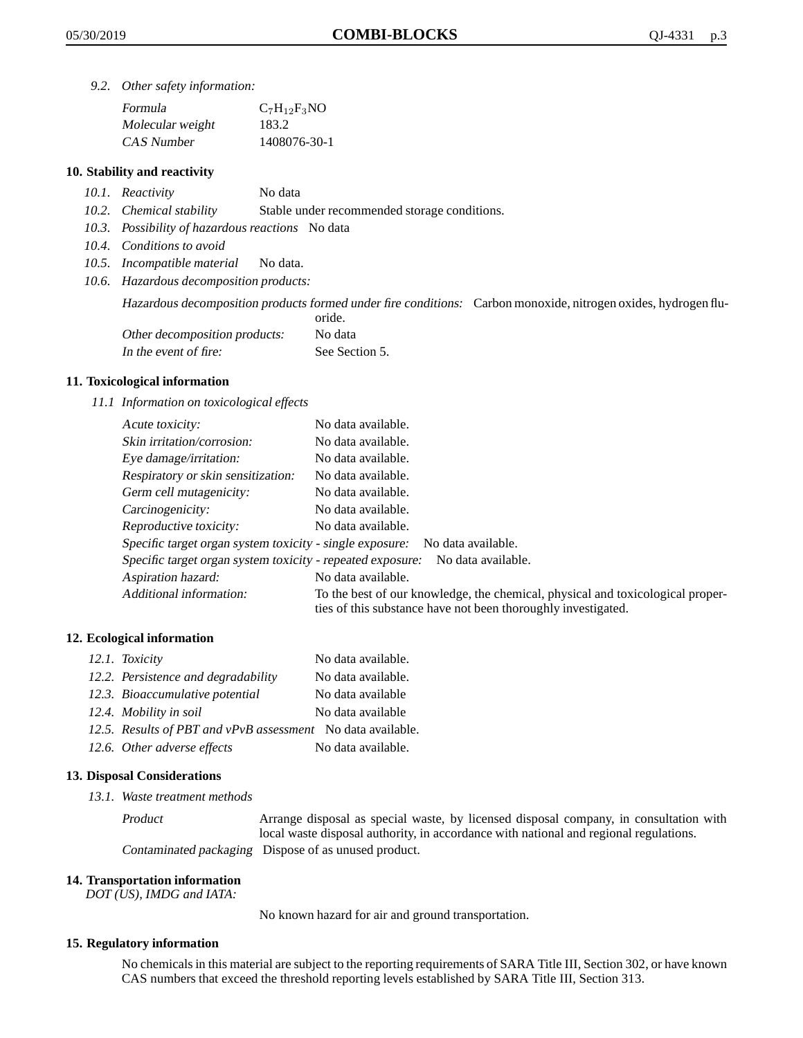*9.2. Other safety information:*

| Formula          | $C_7H_{12}F_3NO$ |
|------------------|------------------|
| Molecular weight | 183.2            |
| CAS Number       | 1408076-30-1     |

#### **10. Stability and reactivity**

- *10.1. Reactivity* No data
- *10.2. Chemical stability* Stable under recommended storage conditions.
- *10.3. Possibility of hazardous reactions* No data
- *10.4. Conditions to avoid*
- *10.5. Incompatible material* No data.
- *10.6. Hazardous decomposition products:*

Hazardous decomposition products formed under fire conditions: Carbon monoxide, nitrogen oxides, hydrogen flu-

|                               | oride.         |
|-------------------------------|----------------|
| Other decomposition products: | No data        |
| In the event of fire:         | See Section 5. |

#### **11. Toxicological information**

*11.1 Information on toxicological effects*

| Acute toxicity:                                                                  | No data available.                                                                                                                              |  |
|----------------------------------------------------------------------------------|-------------------------------------------------------------------------------------------------------------------------------------------------|--|
| Skin irritation/corrosion:                                                       | No data available.                                                                                                                              |  |
| Eye damage/irritation:                                                           | No data available.                                                                                                                              |  |
| Respiratory or skin sensitization:                                               | No data available.                                                                                                                              |  |
| Germ cell mutagenicity:                                                          | No data available.                                                                                                                              |  |
| Carcinogenicity:                                                                 | No data available.                                                                                                                              |  |
| Reproductive toxicity:                                                           | No data available.                                                                                                                              |  |
| Specific target organ system toxicity - single exposure:<br>No data available.   |                                                                                                                                                 |  |
| Specific target organ system toxicity - repeated exposure:<br>No data available. |                                                                                                                                                 |  |
| Aspiration hazard:                                                               | No data available.                                                                                                                              |  |
| Additional information:                                                          | To the best of our knowledge, the chemical, physical and toxicological proper-<br>ties of this substance have not been thoroughly investigated. |  |

#### **12. Ecological information**

| 12.1. Toxicity                                              | No data available. |
|-------------------------------------------------------------|--------------------|
| 12.2. Persistence and degradability                         | No data available. |
| 12.3. Bioaccumulative potential                             | No data available  |
| 12.4. Mobility in soil                                      | No data available  |
| 12.5. Results of PBT and vPvB assessment No data available. |                    |
| 12.6. Other adverse effects                                 | No data available. |

#### **13. Disposal Considerations**

*13.1. Waste treatment methods*

Product Arrange disposal as special waste, by licensed disposal company, in consultation with local waste disposal authority, in accordance with national and regional regulations. Contaminated packaging Dispose of as unused product.

#### **14. Transportation information**

*DOT (US), IMDG and IATA:*

No known hazard for air and ground transportation.

#### **15. Regulatory information**

No chemicals in this material are subject to the reporting requirements of SARA Title III, Section 302, or have known CAS numbers that exceed the threshold reporting levels established by SARA Title III, Section 313.